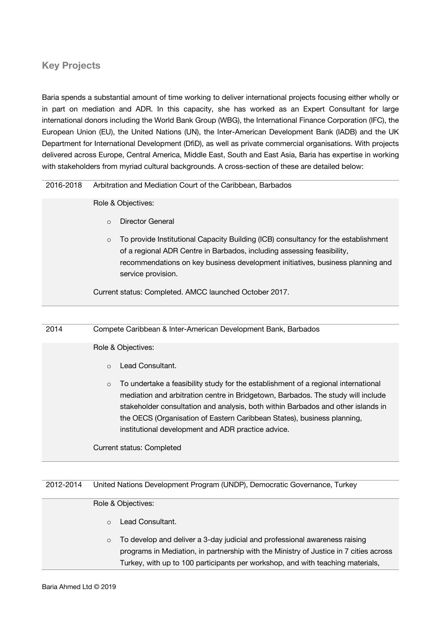# **Key Projects**

Baria spends a substantial amount of time working to deliver international projects focusing either wholly or in part on mediation and ADR. In this capacity, she has worked as an Expert Consultant for large international donors including the World Bank Group (WBG), the International Finance Corporation (IFC), the European Union (EU), the United Nations (UN), the Inter-American Development Bank (IADB) and the UK Department for International Development (DfiD), as well as private commercial organisations. With projects delivered across Europe, Central America, Middle East, South and East Asia, Baria has expertise in working with stakeholders from myriad cultural backgrounds. A cross-section of these are detailed below:

### 2016-2018 Arbitration and Mediation Court of the Caribbean, Barbados

Role & Objectives:

- o Director General
- $\circ$  To provide Institutional Capacity Building (ICB) consultancy for the establishment of a regional ADR Centre in Barbados, including assessing feasibility, recommendations on key business development initiatives, business planning and service provision.

Current status: Completed. AMCC launched October 2017.

### 2014 Compete Caribbean & Inter-American Development Bank, Barbados

### Role & Objectives:

- o Lead Consultant.
- o To undertake a feasibility study for the establishment of a regional international mediation and arbitration centre in Bridgetown, Barbados. The study will include stakeholder consultation and analysis, both within Barbados and other islands in the OECS (Organisation of Eastern Caribbean States), business planning, institutional development and ADR practice advice.

Current status: Completed

## 2012-2014 United Nations Development Program (UNDP), Democratic Governance, Turkey

### Role & Objectives:

- o Lead Consultant.
- o To develop and deliver a 3-day judicial and professional awareness raising programs in Mediation, in partnership with the Ministry of Justice in 7 cities across Turkey, with up to 100 participants per workshop, and with teaching materials,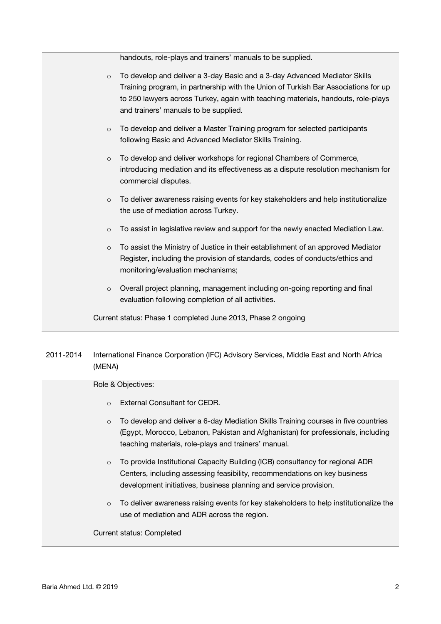handouts, role-plays and trainers' manuals to be supplied.

| $\circ$ | To develop and deliver a 3-day Basic and a 3-day Advanced Mediator Skills<br>Training program, in partnership with the Union of Turkish Bar Associations for up<br>to 250 lawyers across Turkey, again with teaching materials, handouts, role-plays<br>and trainers' manuals to be supplied. |
|---------|-----------------------------------------------------------------------------------------------------------------------------------------------------------------------------------------------------------------------------------------------------------------------------------------------|
| $\circ$ | To develop and deliver a Master Training program for selected participants<br>following Basic and Advanced Mediator Skills Training.                                                                                                                                                          |
| $\circ$ | To develop and deliver workshops for regional Chambers of Commerce,<br>introducing mediation and its effectiveness as a dispute resolution mechanism for<br>commercial disputes.                                                                                                              |
| $\circ$ | To deliver awareness raising events for key stakeholders and help institutionalize<br>the use of mediation across Turkey.                                                                                                                                                                     |
| $\circ$ | To assist in legislative review and support for the newly enacted Mediation Law.                                                                                                                                                                                                              |
| $\circ$ | To assist the Ministry of Justice in their establishment of an approved Mediator<br>Register, including the provision of standards, codes of conducts/ethics and<br>monitoring/evaluation mechanisms;                                                                                         |
| $\circ$ | Overall project planning, management including on-going reporting and final<br>evaluation following completion of all activities.                                                                                                                                                             |
|         | Current status: Phase 1 completed June 2013, Phase 2 ongoing                                                                                                                                                                                                                                  |

# 2011-2014 International Finance Corporation (IFC) Advisory Services, Middle East and North Africa (MENA)

Role & Objectives:

- o External Consultant for CEDR.
- o To develop and deliver a 6-day Mediation Skills Training courses in five countries (Egypt, Morocco, Lebanon, Pakistan and Afghanistan) for professionals, including teaching materials, role-plays and trainers' manual.
- o To provide Institutional Capacity Building (ICB) consultancy for regional ADR Centers, including assessing feasibility, recommendations on key business development initiatives, business planning and service provision.
- $\circ$  To deliver awareness raising events for key stakeholders to help institutionalize the use of mediation and ADR across the region.

Current status: Completed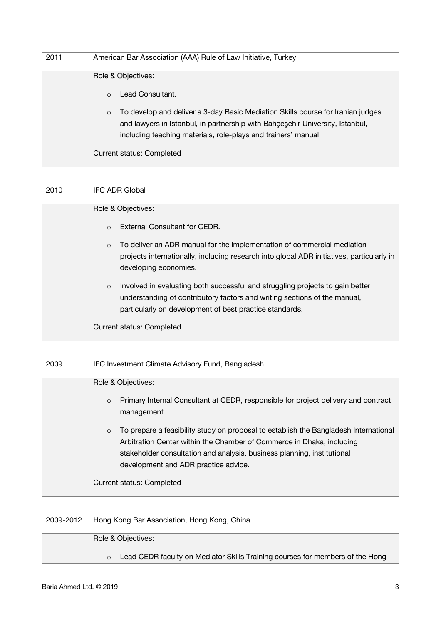| 2011 | American Bar Association (AAA) Rule of Law Initiative, Turkey                                                                                                                                                                                |
|------|----------------------------------------------------------------------------------------------------------------------------------------------------------------------------------------------------------------------------------------------|
|      | Role & Objectives:                                                                                                                                                                                                                           |
|      | Lead Consultant.<br>$\Omega$                                                                                                                                                                                                                 |
|      | To develop and deliver a 3-day Basic Mediation Skills course for Iranian judges<br>$\circ$<br>and lawyers in Istanbul, in partnership with Bahçeşehir University, Istanbul,<br>including teaching materials, role-plays and trainers' manual |
|      | <b>Current status: Completed</b>                                                                                                                                                                                                             |

| 2010 | <b>IFC ADR Global</b>                                                                                                                                                                                                            |
|------|----------------------------------------------------------------------------------------------------------------------------------------------------------------------------------------------------------------------------------|
|      | Role & Objectives:                                                                                                                                                                                                               |
|      | External Consultant for CEDR.<br>$\circ$                                                                                                                                                                                         |
|      | To deliver an ADR manual for the implementation of commercial mediation<br>$\circ$<br>projects internationally, including research into global ADR initiatives, particularly in<br>developing economies.                         |
|      | Involved in evaluating both successful and struggling projects to gain better<br>$\circ$<br>understanding of contributory factors and writing sections of the manual,<br>particularly on development of best practice standards. |
|      | <b>Current status: Completed</b>                                                                                                                                                                                                 |

| 2009 | IFC Investment Climate Advisory Fund, Bangladesh                                                                                                                                                                                                                                            |
|------|---------------------------------------------------------------------------------------------------------------------------------------------------------------------------------------------------------------------------------------------------------------------------------------------|
|      | Role & Objectives:                                                                                                                                                                                                                                                                          |
|      | Primary Internal Consultant at CEDR, responsible for project delivery and contract<br>$\circ$<br>management.                                                                                                                                                                                |
|      | To prepare a feasibility study on proposal to establish the Bangladesh International<br>$\circ$<br>Arbitration Center within the Chamber of Commerce in Dhaka, including<br>stakeholder consultation and analysis, business planning, institutional<br>development and ADR practice advice. |
|      | <b>Current status: Completed</b>                                                                                                                                                                                                                                                            |

2009-2012 Hong Kong Bar Association, Hong Kong, China

Role & Objectives:

o Lead CEDR faculty on Mediator Skills Training courses for members of the Hong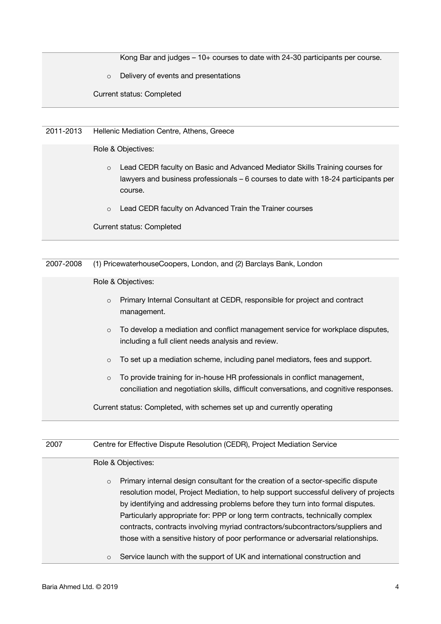Kong Bar and judges – 10+ courses to date with 24-30 participants per course.

o Delivery of events and presentations

Current status: Completed

2011-2013 Hellenic Mediation Centre, Athens, Greece

Role & Objectives:

- o Lead CEDR faculty on Basic and Advanced Mediator Skills Training courses for lawyers and business professionals – 6 courses to date with 18-24 participants per course.
- o Lead CEDR faculty on Advanced Train the Trainer courses

Current status: Completed

2007-2008 (1) PricewaterhouseCoopers, London, and (2) Barclays Bank, London

Role & Objectives:

- o Primary Internal Consultant at CEDR, responsible for project and contract management.
- o To develop a mediation and conflict management service for workplace disputes, including a full client needs analysis and review.
- o To set up a mediation scheme, including panel mediators, fees and support.
- o To provide training for in-house HR professionals in conflict management, conciliation and negotiation skills, difficult conversations, and cognitive responses.

Current status: Completed, with schemes set up and currently operating

| 2007 |         | Centre for Effective Dispute Resolution (CEDR), Project Mediation Service                                                                                                                                                                                                                                                                                                                                                                                                                                        |
|------|---------|------------------------------------------------------------------------------------------------------------------------------------------------------------------------------------------------------------------------------------------------------------------------------------------------------------------------------------------------------------------------------------------------------------------------------------------------------------------------------------------------------------------|
|      |         | Role & Objectives:                                                                                                                                                                                                                                                                                                                                                                                                                                                                                               |
|      | $\circ$ | Primary internal design consultant for the creation of a sector-specific dispute<br>resolution model, Project Mediation, to help support successful delivery of projects<br>by identifying and addressing problems before they turn into formal disputes.<br>Particularly appropriate for: PPP or long term contracts, technically complex<br>contracts, contracts involving myriad contractors/subcontractors/suppliers and<br>those with a sensitive history of poor performance or adversarial relationships. |
|      | $\circ$ | Service launch with the support of UK and international construction and                                                                                                                                                                                                                                                                                                                                                                                                                                         |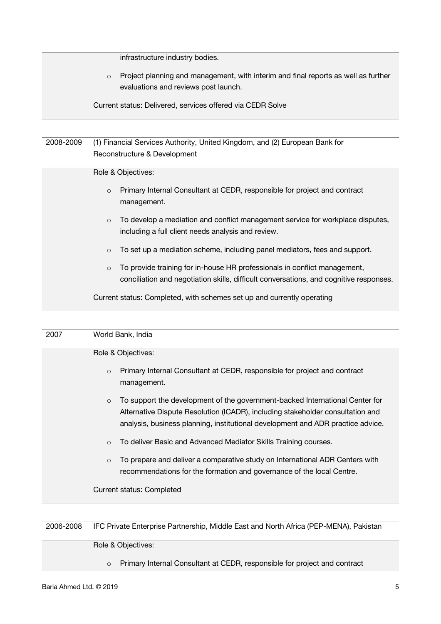|           | infrastructure industry bodies.                                                                                                                 |
|-----------|-------------------------------------------------------------------------------------------------------------------------------------------------|
|           | Project planning and management, with interim and final reports as well as further<br>$\circ$<br>evaluations and reviews post launch.           |
|           | Current status: Delivered, services offered via CEDR Solve                                                                                      |
|           |                                                                                                                                                 |
| 2008-2009 | (1) Financial Services Authority, United Kingdom, and (2) European Bank for<br>Reconstructure & Development                                     |
|           | Role & Objectives:                                                                                                                              |
|           | Primary Internal Consultant at CEDR, responsible for project and contract<br>$\circ$<br>management.                                             |
|           | To develop a mediation and conflict management service for workplace disputes,<br>$\circ$<br>including a full client needs analysis and review. |

- o To set up a mediation scheme, including panel mediators, fees and support.
- o To provide training for in-house HR professionals in conflict management, conciliation and negotiation skills, difficult conversations, and cognitive responses.

Current status: Completed, with schemes set up and currently operating

| 2007 | World Bank, India                                                                                                                                                                                                                                            |
|------|--------------------------------------------------------------------------------------------------------------------------------------------------------------------------------------------------------------------------------------------------------------|
|      | Role & Objectives:                                                                                                                                                                                                                                           |
|      | Primary Internal Consultant at CEDR, responsible for project and contract<br>$\circ$<br>management.                                                                                                                                                          |
|      | To support the development of the government-backed International Center for<br>$\circ$<br>Alternative Dispute Resolution (ICADR), including stakeholder consultation and<br>analysis, business planning, institutional development and ADR practice advice. |
|      | To deliver Basic and Advanced Mediator Skills Training courses.<br>$\circ$                                                                                                                                                                                   |
|      | To prepare and deliver a comparative study on International ADR Centers with<br>$\circ$<br>recommendations for the formation and governance of the local Centre.                                                                                             |
|      | Current status: Completed                                                                                                                                                                                                                                    |

# 2006-2008 IFC Private Enterprise Partnership, Middle East and North Africa (PEP-MENA), Pakistan

Role & Objectives:

o Primary Internal Consultant at CEDR, responsible for project and contract